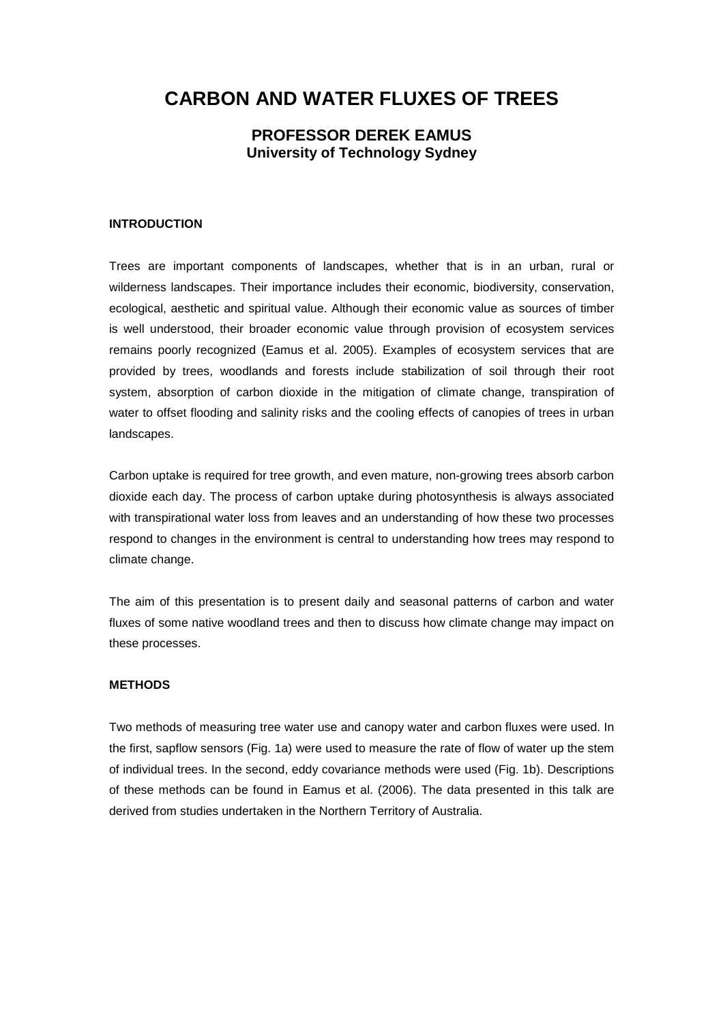# **CARBON AND WATER FLUXES OF TREES**

## **PROFESSOR DEREK EAMUS University of Technology Sydney**

#### **INTRODUCTION**

Trees are important components of landscapes, whether that is in an urban, rural or wilderness landscapes. Their importance includes their economic, biodiversity, conservation, ecological, aesthetic and spiritual value. Although their economic value as sources of timber is well understood, their broader economic value through provision of ecosystem services remains poorly recognized (Eamus et al. 2005). Examples of ecosystem services that are provided by trees, woodlands and forests include stabilization of soil through their root system, absorption of carbon dioxide in the mitigation of climate change, transpiration of water to offset flooding and salinity risks and the cooling effects of canopies of trees in urban landscapes.

Carbon uptake is required for tree growth, and even mature, non-growing trees absorb carbon dioxide each day. The process of carbon uptake during photosynthesis is always associated with transpirational water loss from leaves and an understanding of how these two processes respond to changes in the environment is central to understanding how trees may respond to climate change.

The aim of this presentation is to present daily and seasonal patterns of carbon and water fluxes of some native woodland trees and then to discuss how climate change may impact on these processes.

### **METHODS**

Two methods of measuring tree water use and canopy water and carbon fluxes were used. In the first, sapflow sensors (Fig. 1a) were used to measure the rate of flow of water up the stem of individual trees. In the second, eddy covariance methods were used (Fig. 1b). Descriptions of these methods can be found in Eamus et al. (2006). The data presented in this talk are derived from studies undertaken in the Northern Territory of Australia.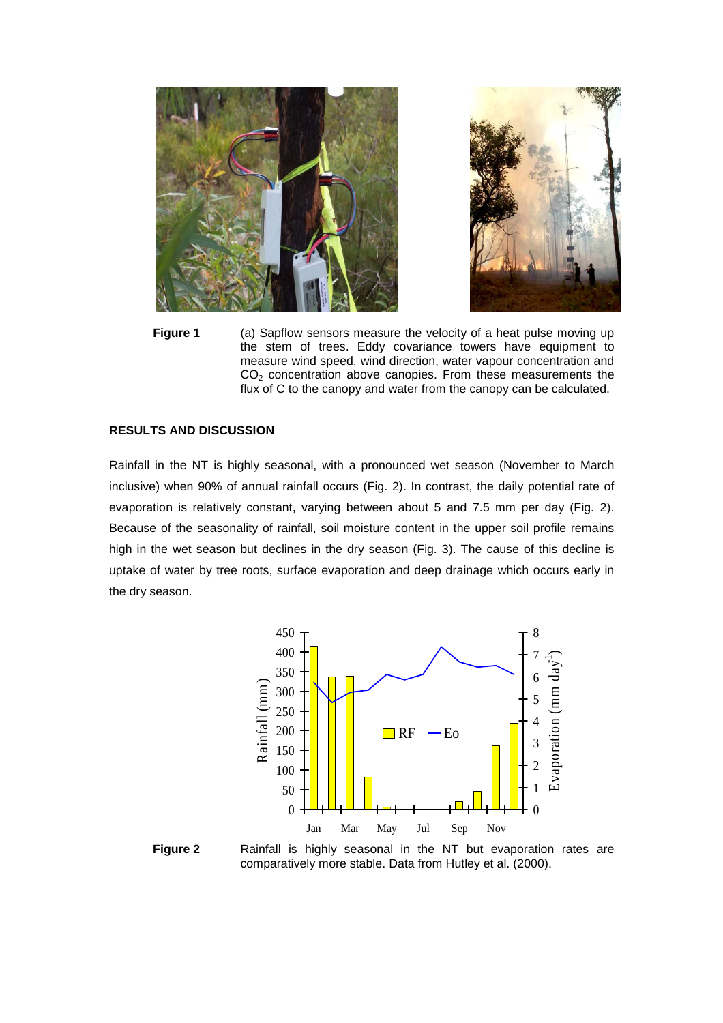

**Figure 1** (a) Sapflow sensors measure the velocity of a heat pulse moving up the stem of trees. Eddy covariance towers have equipment to measure wind speed, wind direction, water vapour concentration and  $CO<sub>2</sub>$  concentration above canopies. From these measurements the flux of C to the canopy and water from the canopy can be calculated.

#### **RESULTS AND DISCUSSION**

Rainfall in the NT is highly seasonal, with a pronounced wet season (November to March inclusive) when 90% of annual rainfall occurs (Fig. 2). In contrast, the daily potential rate of evaporation is relatively constant, varying between about 5 and 7.5 mm per day (Fig. 2). Because of the seasonality of rainfall, soil moisture content in the upper soil profile remains high in the wet season but declines in the dry season (Fig. 3). The cause of this decline is uptake of water by tree roots, surface evaporation and deep drainage which occurs early in the dry season.





**Figure 2** Rainfall is highly seasonal in the NT but evaporation rates are comparatively more stable. Data from Hutley et al. (2000).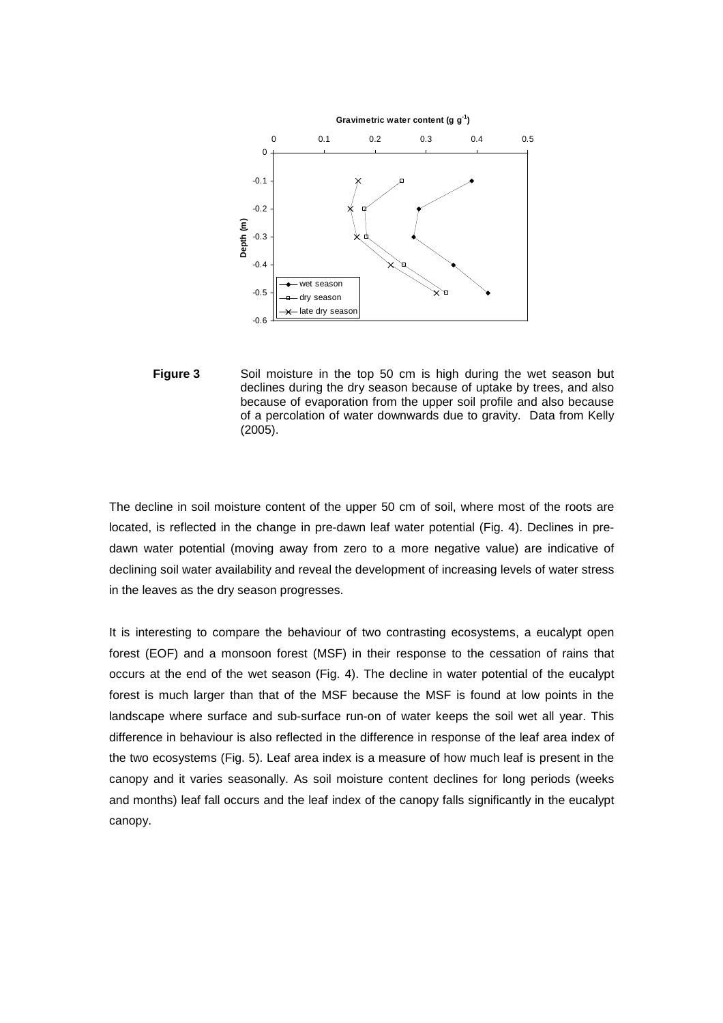

**Figure 3** Soil moisture in the top 50 cm is high during the wet season but declines during the dry season because of uptake by trees, and also because of evaporation from the upper soil profile and also because of a percolation of water downwards due to gravity. Data from Kelly (2005).

The decline in soil moisture content of the upper 50 cm of soil, where most of the roots are located, is reflected in the change in pre-dawn leaf water potential (Fig. 4). Declines in predawn water potential (moving away from zero to a more negative value) are indicative of declining soil water availability and reveal the development of increasing levels of water stress in the leaves as the dry season progresses.

It is interesting to compare the behaviour of two contrasting ecosystems, a eucalypt open forest (EOF) and a monsoon forest (MSF) in their response to the cessation of rains that occurs at the end of the wet season (Fig. 4). The decline in water potential of the eucalypt forest is much larger than that of the MSF because the MSF is found at low points in the landscape where surface and sub-surface run-on of water keeps the soil wet all year. This difference in behaviour is also reflected in the difference in response of the leaf area index of the two ecosystems (Fig. 5). Leaf area index is a measure of how much leaf is present in the canopy and it varies seasonally. As soil moisture content declines for long periods (weeks and months) leaf fall occurs and the leaf index of the canopy falls significantly in the eucalypt canopy.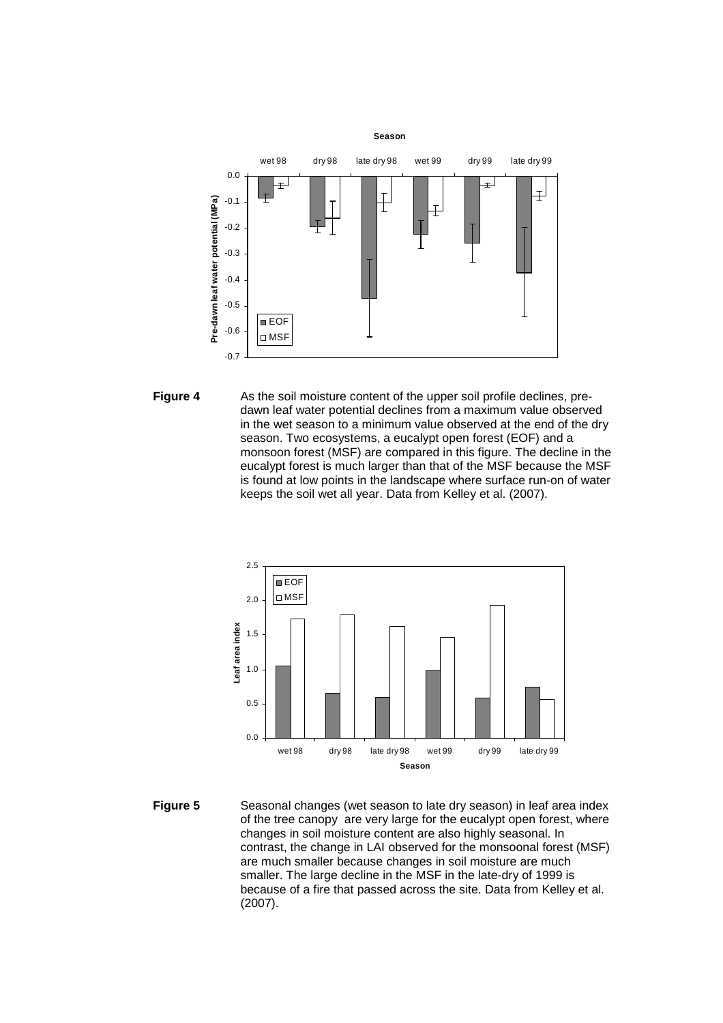

**Figure 4** As the soil moisture content of the upper soil profile declines, predawn leaf water potential declines from a maximum value observed in the wet season to a minimum value observed at the end of the dry season. Two ecosystems, a eucalypt open forest (EOF) and a monsoon forest (MSF) are compared in this figure. The decline in the eucalypt forest is much larger than that of the MSF because the MSF is found at low points in the landscape where surface run-on of water keeps the soil wet all year. Data from Kelley et al. (2007).



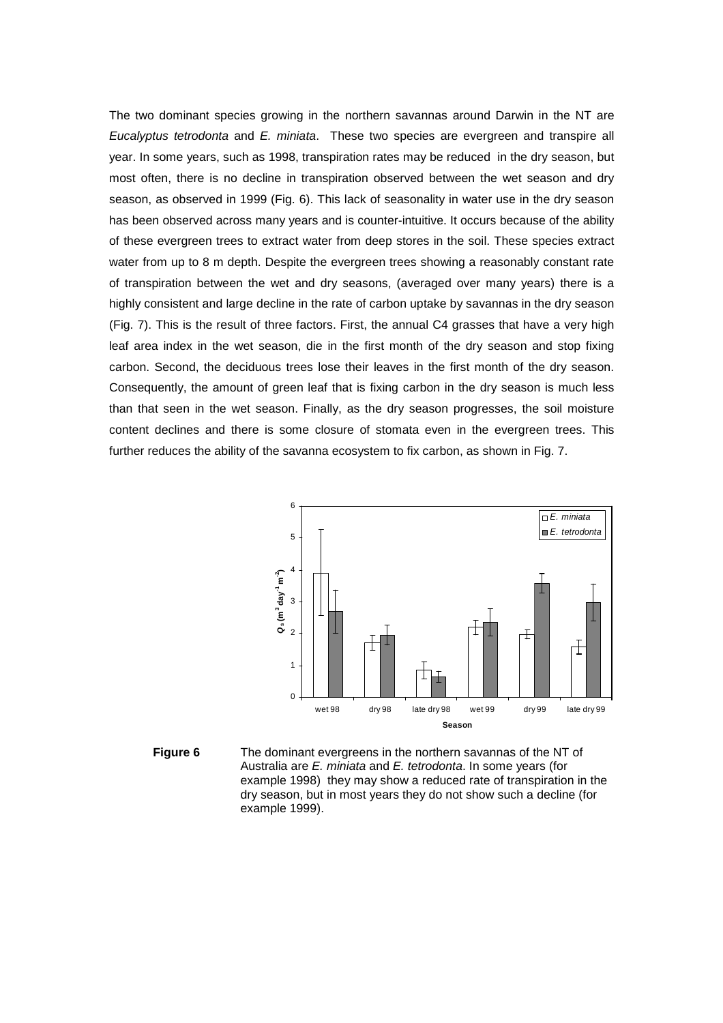The two dominant species growing in the northern savannas around Darwin in the NT are Eucalyptus tetrodonta and E. miniata. These two species are evergreen and transpire all year. In some years, such as 1998, transpiration rates may be reduced in the dry season, but most often, there is no decline in transpiration observed between the wet season and dry season, as observed in 1999 (Fig. 6). This lack of seasonality in water use in the dry season has been observed across many years and is counter-intuitive. It occurs because of the ability of these evergreen trees to extract water from deep stores in the soil. These species extract water from up to 8 m depth. Despite the evergreen trees showing a reasonably constant rate of transpiration between the wet and dry seasons, (averaged over many years) there is a highly consistent and large decline in the rate of carbon uptake by savannas in the dry season (Fig. 7). This is the result of three factors. First, the annual C4 grasses that have a very high leaf area index in the wet season, die in the first month of the dry season and stop fixing carbon. Second, the deciduous trees lose their leaves in the first month of the dry season. Consequently, the amount of green leaf that is fixing carbon in the dry season is much less than that seen in the wet season. Finally, as the dry season progresses, the soil moisture content declines and there is some closure of stomata even in the evergreen trees. This further reduces the ability of the savanna ecosystem to fix carbon, as shown in Fig. 7.



**Figure 6** The dominant evergreens in the northern savannas of the NT of Australia are E. miniata and E. tetrodonta. In some years (for example 1998) they may show a reduced rate of transpiration in the dry season, but in most years they do not show such a decline (for example 1999).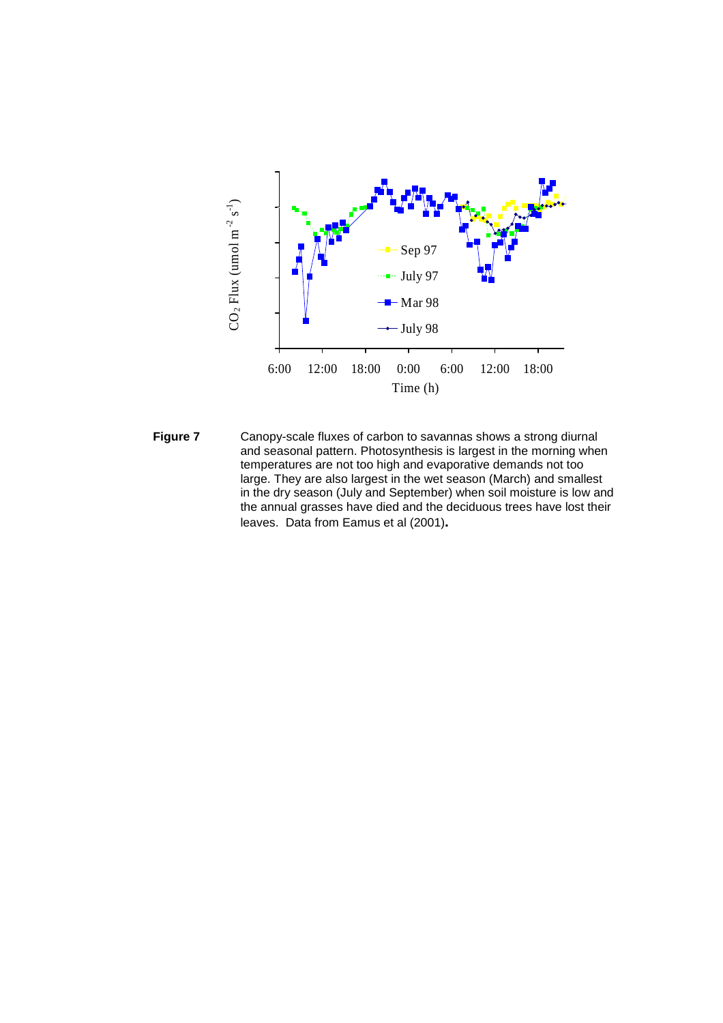

**Figure 7** Canopy-scale fluxes of carbon to savannas shows a strong diurnal and seasonal pattern. Photosynthesis is largest in the morning when temperatures are not too high and evaporative demands not too large. They are also largest in the wet season (March) and smallest in the dry season (July and September) when soil moisture is low and the annual grasses have died and the deciduous trees have lost their leaves. Data from Eamus et al (2001)**.**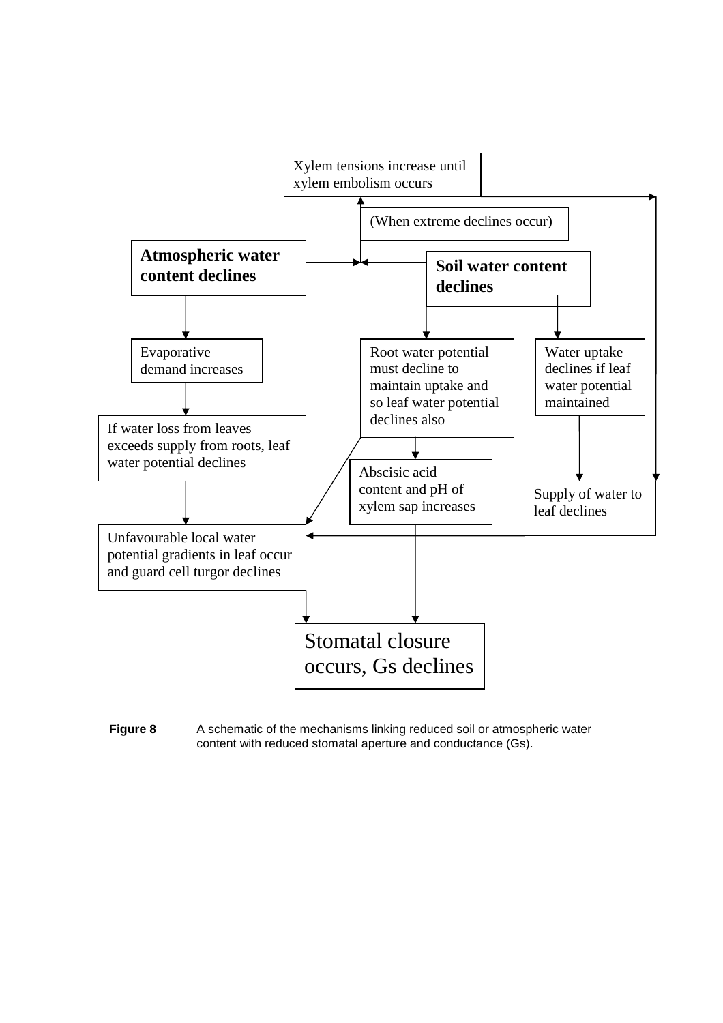

**Figure 8** A schematic of the mechanisms linking reduced soil or atmospheric water content with reduced stomatal aperture and conductance (Gs).